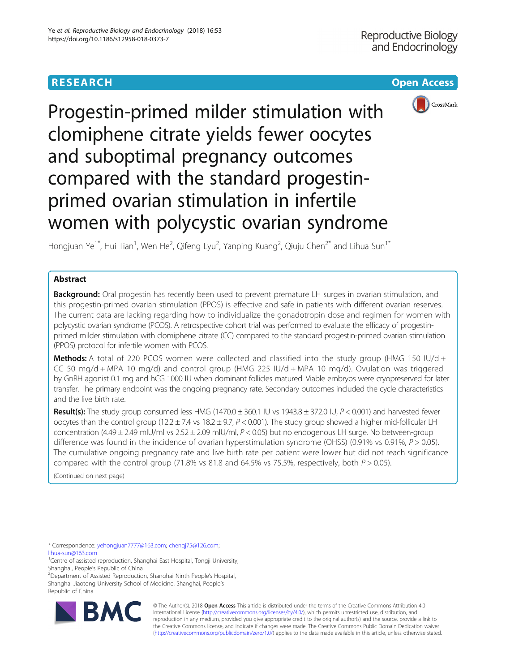



Progestin-primed milder stimulation with clomiphene citrate yields fewer oocytes and suboptimal pregnancy outcomes compared with the standard progestinprimed ovarian stimulation in infertile women with polycystic ovarian syndrome

Hongjuan Ye $^{1^\ast}$ , Hui Tian $^1$ , Wen He $^2$ , Qifeng Lyu $^2$ , Yanping Kuang $^2$ , Qiuju Chen $^{2^\ast}$  and Lihua Sun $^{1^\ast}$ 

# Abstract

Background: Oral progestin has recently been used to prevent premature LH surges in ovarian stimulation, and this progestin-primed ovarian stimulation (PPOS) is effective and safe in patients with different ovarian reserves. The current data are lacking regarding how to individualize the gonadotropin dose and regimen for women with polycystic ovarian syndrome (PCOS). A retrospective cohort trial was performed to evaluate the efficacy of progestinprimed milder stimulation with clomiphene citrate (CC) compared to the standard progestin-primed ovarian stimulation (PPOS) protocol for infertile women with PCOS.

**Methods:** A total of 220 PCOS women were collected and classified into the study group (HMG 150 IU/d + CC 50 mg/d + MPA 10 mg/d) and control group (HMG 225 IU/d + MPA 10 mg/d). Ovulation was triggered by GnRH agonist 0.1 mg and hCG 1000 IU when dominant follicles matured. Viable embryos were cryopreserved for later transfer. The primary endpoint was the ongoing pregnancy rate. Secondary outcomes included the cycle characteristics and the live birth rate.

Result(s): The study group consumed less HMG (1470.0  $\pm$  360.1 IU vs 1943.8  $\pm$  372.0 IU,  $P$  < 0.001) and harvested fewer oocytes than the control group (12.2  $\pm$  7.4 vs 18.2  $\pm$  9.7, P < 0.001). The study group showed a higher mid-follicular LH concentration  $(4.49 \pm 2.49 \text{ mlU/ml vs } 2.52 \pm 2.09 \text{ mlU/ml}, P < 0.05)$  but no endogenous LH surge. No between-group difference was found in the incidence of ovarian hyperstimulation syndrome (OHSS) (0.91% vs 0.91%,  $P > 0.05$ ). The cumulative ongoing pregnancy rate and live birth rate per patient were lower but did not reach significance compared with the control group (71.8% vs 81.8 and 64.5% vs 75.5%, respectively, both  $P > 0.05$ ).

(Continued on next page)

\* Correspondence: [yehongjuan7777@163.com](mailto:yehongjuan7777@163.com); [chenqj75@126.com](mailto:chenqj75@126.com); [lihua-sun@163.com](mailto:lihua-sun@163.com)

<sup>1</sup>Centre of assisted reproduction, Shanghai East Hospital, Tongji University, Shanghai, People's Republic of China <sup>2</sup>

<sup>2</sup>Department of Assisted Reproduction, Shanghai Ninth People's Hospital, Shanghai Jiaotong University School of Medicine, Shanghai, People's Republic of China



© The Author(s). 2018 Open Access This article is distributed under the terms of the Creative Commons Attribution 4.0 International License [\(http://creativecommons.org/licenses/by/4.0/](http://creativecommons.org/licenses/by/4.0/)), which permits unrestricted use, distribution, and reproduction in any medium, provided you give appropriate credit to the original author(s) and the source, provide a link to the Creative Commons license, and indicate if changes were made. The Creative Commons Public Domain Dedication waiver [\(http://creativecommons.org/publicdomain/zero/1.0/](http://creativecommons.org/publicdomain/zero/1.0/)) applies to the data made available in this article, unless otherwise stated.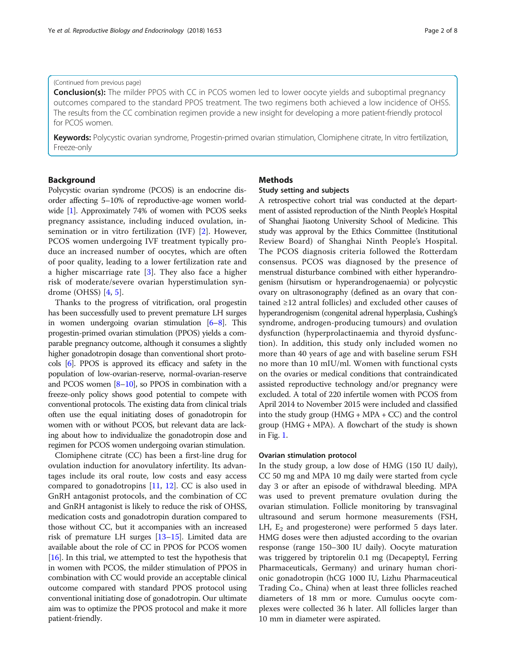# (Continued from previous page)

**Conclusion(s):** The milder PPOS with CC in PCOS women led to lower oocyte yields and suboptimal pregnancy outcomes compared to the standard PPOS treatment. The two regimens both achieved a low incidence of OHSS. The results from the CC combination regimen provide a new insight for developing a more patient-friendly protocol for PCOS women.

Keywords: Polycystic ovarian syndrome, Progestin-primed ovarian stimulation, Clomiphene citrate, In vitro fertilization, Freeze-only

# Background

Polycystic ovarian syndrome (PCOS) is an endocrine disorder affecting 5–10% of reproductive-age women worldwide [[1](#page-6-0)]. Approximately 74% of women with PCOS seeks pregnancy assistance, including induced ovulation, insemination or in vitro fertilization (IVF) [\[2](#page-6-0)]. However, PCOS women undergoing IVF treatment typically produce an increased number of oocytes, which are often of poor quality, leading to a lower fertilization rate and a higher miscarriage rate  $[3]$  $[3]$ . They also face a higher risk of moderate/severe ovarian hyperstimulation syndrome (OHSS) [[4,](#page-7-0) [5](#page-7-0)].

Thanks to the progress of vitrification, oral progestin has been successfully used to prevent premature LH surges in women undergoing ovarian stimulation [\[6](#page-7-0)–[8\]](#page-7-0). This progestin-primed ovarian stimulation (PPOS) yields a comparable pregnancy outcome, although it consumes a slightly higher gonadotropin dosage than conventional short protocols [\[6](#page-7-0)]. PPOS is approved its efficacy and safety in the population of low-ovarian-reserve, normal-ovarian-reserve and PCOS women  $[8-10]$  $[8-10]$  $[8-10]$ , so PPOS in combination with a freeze-only policy shows good potential to compete with conventional protocols. The existing data from clinical trials often use the equal initiating doses of gonadotropin for women with or without PCOS, but relevant data are lacking about how to individualize the gonadotropin dose and regimen for PCOS women undergoing ovarian stimulation.

Clomiphene citrate (CC) has been a first-line drug for ovulation induction for anovulatory infertility. Its advantages include its oral route, low costs and easy access compared to gonadotropins [[11,](#page-7-0) [12](#page-7-0)]. CC is also used in GnRH antagonist protocols, and the combination of CC and GnRH antagonist is likely to reduce the risk of OHSS, medication costs and gonadotropin duration compared to those without CC, but it accompanies with an increased risk of premature LH surges [[13](#page-7-0)–[15\]](#page-7-0). Limited data are available about the role of CC in PPOS for PCOS women  $[16]$  $[16]$  $[16]$ . In this trial, we attempted to test the hypothesis that in women with PCOS, the milder stimulation of PPOS in combination with CC would provide an acceptable clinical outcome compared with standard PPOS protocol using conventional initiating dose of gonadotropin. Our ultimate aim was to optimize the PPOS protocol and make it more patient-friendly.

# **Methods**

## Study setting and subjects

A retrospective cohort trial was conducted at the department of assisted reproduction of the Ninth People's Hospital of Shanghai Jiaotong University School of Medicine. This study was approval by the Ethics Committee (Institutional Review Board) of Shanghai Ninth People's Hospital. The PCOS diagnosis criteria followed the Rotterdam consensus. PCOS was diagnosed by the presence of menstrual disturbance combined with either hyperandrogenism (hirsutism or hyperandrogenaemia) or polycystic ovary on ultrasonography (defined as an ovary that contained ≥12 antral follicles) and excluded other causes of hyperandrogenism (congenital adrenal hyperplasia, Cushing's syndrome, androgen-producing tumours) and ovulation dysfunction (hyperprolactinaemia and thyroid dysfunction). In addition, this study only included women no more than 40 years of age and with baseline serum FSH no more than 10 mIU/ml. Women with functional cysts on the ovaries or medical conditions that contraindicated assisted reproductive technology and/or pregnancy were excluded. A total of 220 infertile women with PCOS from April 2014 to November 2015 were included and classified into the study group  $(HMG + MPA + CC)$  and the control group  $(HMG + MPA)$ . A flowchart of the study is shown in Fig. [1.](#page-2-0)

### Ovarian stimulation protocol

In the study group, a low dose of HMG (150 IU daily), CC 50 mg and MPA 10 mg daily were started from cycle day 3 or after an episode of withdrawal bleeding. MPA was used to prevent premature ovulation during the ovarian stimulation. Follicle monitoring by transvaginal ultrasound and serum hormone measurements (FSH, LH,  $E_2$  and progesterone) were performed 5 days later. HMG doses were then adjusted according to the ovarian response (range 150–300 IU daily). Oocyte maturation was triggered by triptorelin 0.1 mg (Decapeptyl, Ferring Pharmaceuticals, Germany) and urinary human chorionic gonadotropin (hCG 1000 IU, Lizhu Pharmaceutical Trading Co., China) when at least three follicles reached diameters of 18 mm or more. Cumulus oocyte complexes were collected 36 h later. All follicles larger than 10 mm in diameter were aspirated.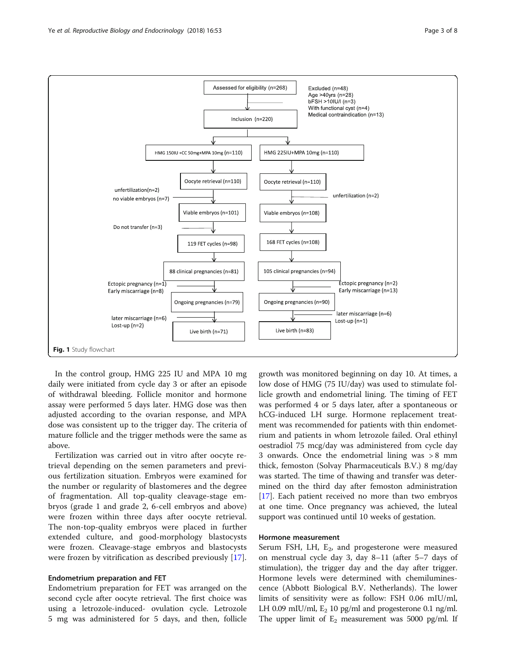<span id="page-2-0"></span>

In the control group, HMG 225 IU and MPA 10 mg daily were initiated from cycle day 3 or after an episode of withdrawal bleeding. Follicle monitor and hormone assay were performed 5 days later. HMG dose was then adjusted according to the ovarian response, and MPA dose was consistent up to the trigger day. The criteria of mature follicle and the trigger methods were the same as above.

Fertilization was carried out in vitro after oocyte retrieval depending on the semen parameters and previous fertilization situation. Embryos were examined for the number or regularity of blastomeres and the degree of fragmentation. All top-quality cleavage-stage embryos (grade 1 and grade 2, 6-cell embryos and above) were frozen within three days after oocyte retrieval. The non-top-quality embryos were placed in further extended culture, and good-morphology blastocysts were frozen. Cleavage-stage embryos and blastocysts were frozen by vitrification as described previously [[17\]](#page-7-0).

# Endometrium preparation and FET

Endometrium preparation for FET was arranged on the second cycle after oocyte retrieval. The first choice was using a letrozole-induced- ovulation cycle. Letrozole 5 mg was administered for 5 days, and then, follicle growth was monitored beginning on day 10. At times, a low dose of HMG (75 IU/day) was used to stimulate follicle growth and endometrial lining. The timing of FET was performed 4 or 5 days later, after a spontaneous or hCG-induced LH surge. Hormone replacement treatment was recommended for patients with thin endometrium and patients in whom letrozole failed. Oral ethinyl oestradiol 75 mcg/day was administered from cycle day 3 onwards. Once the endometrial lining was > 8 mm thick, femoston (Solvay Pharmaceuticals B.V.) 8 mg/day was started. The time of thawing and transfer was determined on the third day after femoston administration [[17\]](#page-7-0). Each patient received no more than two embryos at one time. Once pregnancy was achieved, the luteal support was continued until 10 weeks of gestation.

# Hormone measurement

Serum FSH, LH, E<sub>2</sub>, and progesterone were measured on menstrual cycle day 3, day 8–11 (after 5–7 days of stimulation), the trigger day and the day after trigger. Hormone levels were determined with chemiluminescence (Abbott Biological B.V. Netherlands). The lower limits of sensitivity were as follow: FSH 0.06 mIU/ml, LH 0.09 mIU/ml,  $E_2$  10 pg/ml and progesterone 0.1 ng/ml. The upper limit of  $E_2$  measurement was 5000 pg/ml. If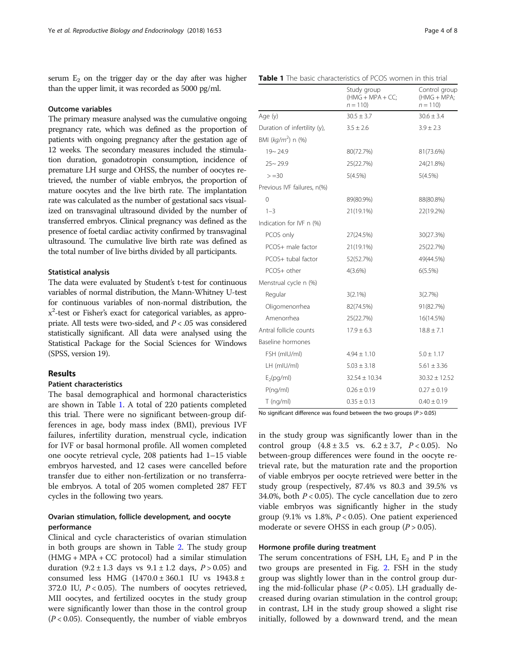serum  $E_2$  on the trigger day or the day after was higher than the upper limit, it was recorded as 5000 pg/ml.

### Outcome variables

The primary measure analysed was the cumulative ongoing pregnancy rate, which was defined as the proportion of patients with ongoing pregnancy after the gestation age of 12 weeks. The secondary measures included the stimulation duration, gonadotropin consumption, incidence of premature LH surge and OHSS, the number of oocytes retrieved, the number of viable embryos, the proportion of mature oocytes and the live birth rate. The implantation rate was calculated as the number of gestational sacs visualized on transvaginal ultrasound divided by the number of transferred embryos. Clinical pregnancy was defined as the presence of foetal cardiac activity confirmed by transvaginal ultrasound. The cumulative live birth rate was defined as the total number of live births divided by all participants.

# Statistical analysis

The data were evaluated by Student's t-test for continuous variables of normal distribution, the Mann-Whitney U-test for continuous variables of non-normal distribution, the x<sup>2</sup>-test or Fisher's exact for categorical variables, as appropriate. All tests were two-sided, and  $P < .05$  was considered statistically significant. All data were analysed using the Statistical Package for the Social Sciences for Windows (SPSS, version 19).

### Results

# Patient characteristics

The basal demographical and hormonal characteristics are shown in Table 1. A total of 220 patients completed this trial. There were no significant between-group differences in age, body mass index (BMI), previous IVF failures, infertility duration, menstrual cycle, indication for IVF or basal hormonal profile. All women completed one oocyte retrieval cycle, 208 patients had 1–15 viable embryos harvested, and 12 cases were cancelled before transfer due to either non-fertilization or no transferrable embryos. A total of 205 women completed 287 FET cycles in the following two years.

# Ovarian stimulation, follicle development, and oocyte performance

Clinical and cycle characteristics of ovarian stimulation in both groups are shown in Table [2.](#page-4-0) The study group (HMG + MPA + CC protocol) had a similar stimulation duration  $(9.2 \pm 1.3$  days vs  $9.1 \pm 1.2$  days,  $P > 0.05$ ) and consumed less HMG (1470.0 ± 360.1 IU vs 1943.8 ± 372.0 IU,  $P < 0.05$ ). The numbers of oocytes retrieved, MII oocytes, and fertilized oocytes in the study group were significantly lower than those in the control group  $(P < 0.05)$ . Consequently, the number of viable embryos

|                              | <i>۱۱۷۱</i> - ۱۱۷۱۱ - ۱۱۷۱۱ ۱۱۱۱۱۱<br>$n = 110$ | $(1.1191 \cup 1.11911)$<br>$n = 110$ |
|------------------------------|-------------------------------------------------|--------------------------------------|
| Age (y)                      | $30.5 \pm 3.7$                                  | $30.6 \pm 3.4$                       |
| Duration of infertility (y), | $3.5 \pm 2.6$                                   | $3.9 \pm 2.3$                        |
| BMI ( $kg/m^2$ ) n (%)       |                                                 |                                      |
| $19 - 24.9$                  | 80(72.7%)                                       | 81(73.6%)                            |
| $25 - 29.9$                  | 25(22.7%)                                       | 24(21.8%)                            |
| $> = 30$                     | 5(4.5%)                                         | 5(4.5%)                              |
| Previous IVF failures, n(%)  |                                                 |                                      |
| $\overline{O}$               | 89(80.9%)                                       | 88(80.8%)                            |
| $1 - 3$                      | 21(19.1%)                                       | 22(19.2%)                            |
| Indication for IVF n (%)     |                                                 |                                      |
| PCOS only                    | 27(24.5%)                                       | 30(27.3%)                            |
| PCOS+ male factor            | 21(19.1%)                                       | 25(22.7%)                            |
| PCOS+ tubal factor           | 52(52.7%)                                       | 49(44.5%)                            |
| PCOS+ other                  | 4(3.6%)                                         | 6(5.5%)                              |
| Menstrual cycle n (%)        |                                                 |                                      |
| Regular                      | $3(2.1\%)$                                      | 3(2.7%)                              |
| Oligomenorrhea               | 82(74.5%)                                       | 91(82.7%)                            |
| Amenorrhea                   | 25(22.7%)                                       | 16(14.5%)                            |
| Antral follicle counts       | $17.9 \pm 6.3$                                  | $18.8 \pm 7.1$                       |
| Baseline hormones            |                                                 |                                      |
| FSH (mIU/ml)                 | $4.94 \pm 1.10$                                 | $5.0 \pm 1.17$                       |
| LH (mIU/ml)                  | $5.03 \pm 3.18$                                 | $5.61 \pm 3.36$                      |
| $E_2(pq/ml)$                 | $32.54 \pm 10.34$                               | $30.32 \pm 12.52$                    |
| P(nq/ml)                     | $0.26 \pm 0.19$                                 | $0.27 \pm 0.19$                      |
| $T$ (ng/ml)                  | $0.35 \pm 0.13$                                 | $0.40 \pm 0.19$                      |

No significant difference was found between the two groups ( $P > 0.05$ )

in the study group was significantly lower than in the control group  $(4.8 \pm 3.5 \text{ vs. } 6.2 \pm 3.7, P < 0.05)$ . No between-group differences were found in the oocyte retrieval rate, but the maturation rate and the proportion of viable embryos per oocyte retrieved were better in the study group (respectively, 87.4% vs 80.3 and 39.5% vs 34.0%, both  $P < 0.05$ ). The cycle cancellation due to zero viable embryos was significantly higher in the study group (9.1% vs 1.8%,  $P < 0.05$ ). One patient experienced moderate or severe OHSS in each group  $(P > 0.05)$ .

# Hormone profile during treatment

The serum concentrations of FSH, LH,  $E_2$  and P in the two groups are presented in Fig. [2](#page-4-0). FSH in the study group was slightly lower than in the control group during the mid-follicular phase ( $P < 0.05$ ). LH gradually decreased during ovarian stimulation in the control group; in contrast, LH in the study group showed a slight rise initially, followed by a downward trend, and the mean

Control group  $(HMAC + MDA)$ 

# Table 1 The basic characteristics of PCOS women in this trial

Study group  $(HMG + MDA + CC)$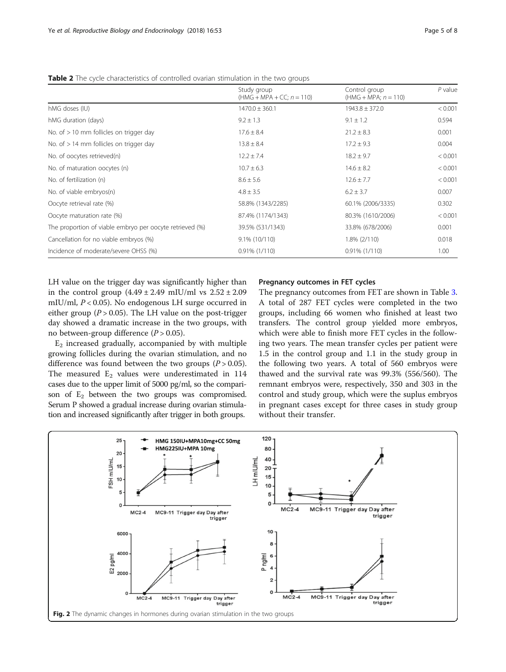| <b>TADIC</b> A THE CYCLE CHARACTERISTICS OF CONTINUITY OVAHALL SUITIGRATION IN THE TWO GIOGOS |             |  |  |  |
|-----------------------------------------------------------------------------------------------|-------------|--|--|--|
| Study group                                                                                   | Control gr  |  |  |  |
| $(HMG + MPA + CC: n = 110)$                                                                   | $(HMG + M)$ |  |  |  |

<span id="page-4-0"></span>Table 2 The cycle characteristics of controlled ovarian stimulation in the two groups

|                                                          | Study group<br>$(HMG + MPA + CC; n = 110)$ | Control group<br>$(HMG + MPA; n = 110)$ | $P$ value |
|----------------------------------------------------------|--------------------------------------------|-----------------------------------------|-----------|
| hMG doses (IU)                                           | $1470.0 \pm 360.1$                         | $1943.8 \pm 372.0$                      | < 0.001   |
| hMG duration (days)                                      | $9.2 \pm 1.3$                              | $9.1 \pm 1.2$                           | 0.594     |
| No. of $> 10$ mm follicles on trigger day                | $17.6 \pm 8.4$                             | $21.2 \pm 8.3$                          | 0.001     |
| No. of $> 14$ mm follicles on trigger day                | $13.8 \pm 8.4$                             | $17.2 \pm 9.3$                          | 0.004     |
| No. of oocytes retrieved(n)                              | $12.2 \pm 7.4$                             | $18.2 \pm 9.7$                          | < 0.001   |
| No. of maturation oocytes (n)                            | $10.7 \pm 6.3$                             | $14.6 \pm 8.2$                          | < 0.001   |
| No. of fertilization (n)                                 | $8.6 \pm 5.6$                              | $12.6 \pm 7.7$                          | < 0.001   |
| No. of viable embryos(n)                                 | $4.8 \pm 3.5$                              | $6.2 \pm 3.7$                           | 0.007     |
| Oocyte retrieval rate (%)                                | 58.8% (1343/2285)                          | 60.1% (2006/3335)                       | 0.302     |
| Oocyte maturation rate (%)                               | 87.4% (1174/1343)                          | 80.3% (1610/2006)                       | < 0.001   |
| The proportion of viable embryo per oocyte retrieved (%) | 39.5% (531/1343)                           | 33.8% (678/2006)                        | 0.001     |
| Cancellation for no viable embryos (%)                   | $9.1\%$ (10/110)                           | $1.8\%$ (2/110)                         | 0.018     |
| Incidence of moderate/severe OHSS (%)                    | $0.91\%$ (1/110)                           | $0.91\%$ (1/110)                        | 1.00      |

LH value on the trigger day was significantly higher than in the control group  $(4.49 \pm 2.49 \text{ m})$  ws  $2.52 \pm 2.09$ mIU/ml,  $P < 0.05$ ). No endogenous LH surge occurred in either group ( $P > 0.05$ ). The LH value on the post-trigger day showed a dramatic increase in the two groups, with no between-group difference  $(P > 0.05)$ .

 $E_2$  increased gradually, accompanied by with multiple growing follicles during the ovarian stimulation, and no difference was found between the two groups  $(P > 0.05)$ . The measured  $E_2$  values were underestimated in 114 cases due to the upper limit of 5000 pg/ml, so the comparison of  $E_2$  between the two groups was compromised. Serum P showed a gradual increase during ovarian stimulation and increased significantly after trigger in both groups.

# Pregnancy outcomes in FET cycles

The pregnancy outcomes from FET are shown in Table [3](#page-5-0). A total of 287 FET cycles were completed in the two groups, including 66 women who finished at least two transfers. The control group yielded more embryos, which were able to finish more FET cycles in the following two years. The mean transfer cycles per patient were 1.5 in the control group and 1.1 in the study group in the following two years. A total of 560 embryos were thawed and the survival rate was 99.3% (556/560). The remnant embryos were, respectively, 350 and 303 in the control and study group, which were the suplus embryos in pregnant cases except for three cases in study group without their transfer.

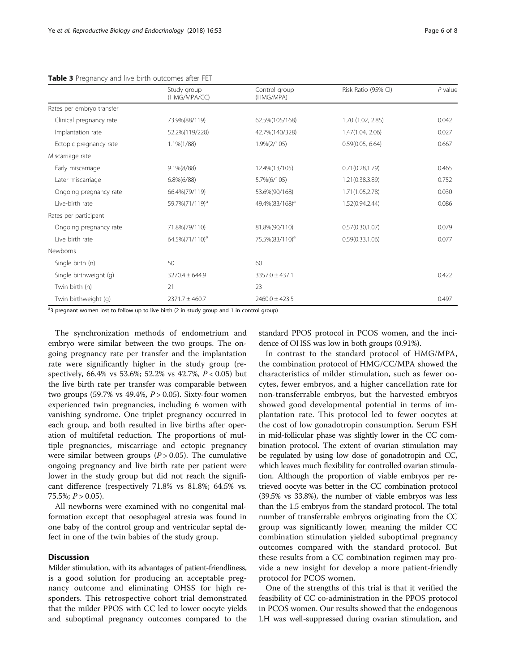<span id="page-5-0"></span>Table 3 Pregnancy and live birth outcomes after FET

|                           | Study group<br>(HMG/MPA/CC) | Control group<br>(HMG/MPA) | Risk Ratio (95% CI) | $P$ value |
|---------------------------|-----------------------------|----------------------------|---------------------|-----------|
| Rates per embryo transfer |                             |                            |                     |           |
| Clinical pregnancy rate   | 73.9%(88/119)               | 62.5%(105/168)             | 1.70 (1.02, 2.85)   | 0.042     |
| Implantation rate         | 52.2%(119/228)              | 42.7%(140/328)             | 1.47(1.04, 2.06)    | 0.027     |
| Ectopic pregnancy rate    | $1.1\%(1/88)$               | $1.9\%(2/105)$             | 0.59(0.05, 6.64)    | 0.667     |
| Miscarriage rate          |                             |                            |                     |           |
| Early miscarriage         | $9.1\%(8/88)$               | 12.4% (13/105)             | 0.71(0.28, 1.79)    | 0.465     |
| Later miscarriage         | $6.8\%(6/88)$               | 5.7%(6/105)                | 1.21(0.38, 3.89)    | 0.752     |
| Ongoing pregnancy rate    | 66.4%(79/119)               | 53.6%(90/168)              | 1.71(1.05,2.78)     | 0.030     |
| Live-birth rate           | 59.7%(71/119) <sup>a</sup>  | 49.4%(83/168) <sup>a</sup> | 1.52(0.94,2.44)     | 0.086     |
| Rates per participant     |                             |                            |                     |           |
| Ongoing pregnancy rate    | 71.8%(79/110)               | 81.8%(90/110)              | 0.57(0.30, 1.07)    | 0.079     |
| Live birth rate           | 64.5%(71/110) <sup>a</sup>  | 75.5%(83/110) <sup>a</sup> | 0.59(0.33, 1.06)    | 0.077     |
| Newborns                  |                             |                            |                     |           |
| Single birth (n)          | 50                          | 60                         |                     |           |
| Single birthweight (g)    | $3270.4 \pm 644.9$          | $3357.0 \pm 437.1$         |                     | 0.422     |
| Twin birth (n)            | 21                          | 23                         |                     |           |
| Twin birthweight (g)      | $2371.7 \pm 460.7$          | $2460.0 \pm 423.5$         |                     | 0.497     |

<sup>a</sup>3 pregnant women lost to follow up to live birth (2 in study group and 1 in control group)

The synchronization methods of endometrium and embryo were similar between the two groups. The ongoing pregnancy rate per transfer and the implantation rate were significantly higher in the study group (respectively, 66.4% vs 53.6%; 52.2% vs 42.7%, P < 0.05) but the live birth rate per transfer was comparable between two groups (59.7% vs 49.4%,  $P > 0.05$ ). Sixty-four women experienced twin pregnancies, including 6 women with vanishing syndrome. One triplet pregnancy occurred in each group, and both resulted in live births after operation of multifetal reduction. The proportions of multiple pregnancies, miscarriage and ectopic pregnancy were similar between groups  $(P > 0.05)$ . The cumulative ongoing pregnancy and live birth rate per patient were lower in the study group but did not reach the significant difference (respectively 71.8% vs 81.8%; 64.5% vs. 75.5%;  $P > 0.05$ ).

All newborns were examined with no congenital malformation except that oesophageal atresia was found in one baby of the control group and ventricular septal defect in one of the twin babies of the study group.

# **Discussion**

Milder stimulation, with its advantages of patient-friendliness, is a good solution for producing an acceptable pregnancy outcome and eliminating OHSS for high responders. This retrospective cohort trial demonstrated that the milder PPOS with CC led to lower oocyte yields and suboptimal pregnancy outcomes compared to the

standard PPOS protocol in PCOS women, and the incidence of OHSS was low in both groups (0.91%).

In contrast to the standard protocol of HMG/MPA, the combination protocol of HMG/CC/MPA showed the characteristics of milder stimulation, such as fewer oocytes, fewer embryos, and a higher cancellation rate for non-transferrable embryos, but the harvested embryos showed good developmental potential in terms of implantation rate. This protocol led to fewer oocytes at the cost of low gonadotropin consumption. Serum FSH in mid-follicular phase was slightly lower in the CC combination protocol. The extent of ovarian stimulation may be regulated by using low dose of gonadotropin and CC, which leaves much flexibility for controlled ovarian stimulation. Although the proportion of viable embryos per retrieved oocyte was better in the CC combination protocol (39.5% vs 33.8%), the number of viable embryos was less than the 1.5 embryos from the standard protocol. The total number of transferrable embryos originating from the CC group was significantly lower, meaning the milder CC combination stimulation yielded suboptimal pregnancy outcomes compared with the standard protocol. But these results from a CC combination regimen may provide a new insight for develop a more patient-friendly protocol for PCOS women.

One of the strengths of this trial is that it verified the feasibility of CC co-administration in the PPOS protocol in PCOS women. Our results showed that the endogenous LH was well-suppressed during ovarian stimulation, and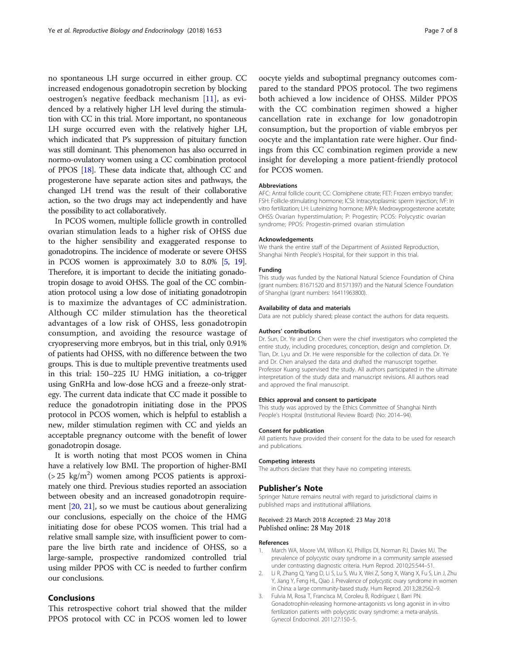<span id="page-6-0"></span>no spontaneous LH surge occurred in either group. CC increased endogenous gonadotropin secretion by blocking oestrogen's negative feedback mechanism [\[11](#page-7-0)], as evidenced by a relatively higher LH level during the stimulation with CC in this trial. More important, no spontaneous LH surge occurred even with the relatively higher LH, which indicated that P's suppression of pituitary function was still dominant. This phenomenon has also occurred in normo-ovulatory women using a CC combination protocol of PPOS [\[18\]](#page-7-0). These data indicate that, although CC and progesterone have separate action sites and pathways, the changed LH trend was the result of their collaborative action, so the two drugs may act independently and have the possibility to act collaboratively.

In PCOS women, multiple follicle growth in controlled ovarian stimulation leads to a higher risk of OHSS due to the higher sensibility and exaggerated response to gonadotropins. The incidence of moderate or severe OHSS in PCOS women is approximately 3.0 to 8.0% [[5](#page-7-0), [19](#page-7-0)]. Therefore, it is important to decide the initiating gonadotropin dosage to avoid OHSS. The goal of the CC combination protocol using a low dose of initiating gonadotropin is to maximize the advantages of CC administration. Although CC milder stimulation has the theoretical advantages of a low risk of OHSS, less gonadotropin consumption, and avoiding the resource wastage of cryopreserving more embryos, but in this trial, only 0.91% of patients had OHSS, with no difference between the two groups. This is due to multiple preventive treatments used in this trial: 150–225 IU HMG initiation, a co-trigger using GnRHa and low-dose hCG and a freeze-only strategy. The current data indicate that CC made it possible to reduce the gonadotropin initiating dose in the PPOS protocol in PCOS women, which is helpful to establish a new, milder stimulation regimen with CC and yields an acceptable pregnancy outcome with the benefit of lower gonadotropin dosage.

It is worth noting that most PCOS women in China have a relatively low BMI. The proportion of higher-BMI  $(> 25 \text{ kg/m}^2)$  women among PCOS patients is approximately one third. Previous studies reported an association between obesity and an increased gonadotropin requirement [[20,](#page-7-0) [21\]](#page-7-0), so we must be cautious about generalizing our conclusions, especially on the choice of the HMG initiating dose for obese PCOS women. This trial had a relative small sample size, with insufficient power to compare the live birth rate and incidence of OHSS, so a large-sample, prospective randomized controlled trial using milder PPOS with CC is needed to further confirm our conclusions.

# Conclusions

This retrospective cohort trial showed that the milder PPOS protocol with CC in PCOS women led to lower oocyte yields and suboptimal pregnancy outcomes compared to the standard PPOS protocol. The two regimens both achieved a low incidence of OHSS. Milder PPOS with the CC combination regimen showed a higher cancellation rate in exchange for low gonadotropin consumption, but the proportion of viable embryos per oocyte and the implantation rate were higher. Our findings from this CC combination regimen provide a new insight for developing a more patient-friendly protocol for PCOS women.

### Abbreviations

AFC: Antral follicle count; CC: Clomiphene citrate; FET: Frozen embryo transfer; FSH: Follicle-stimulating hormone; ICSI: Intracytoplasmic sperm injection; IVF: In vitro fertilization; LH: Luteinizing hormone; MPA: Medroxyprogesterone acetate; OHSS: Ovarian hyperstimulation; P: Progestin; PCOS: Polycystic ovarian syndrome; PPOS: Progestin-primed ovarian stimulation

# Acknowledgements

We thank the entire staff of the Department of Assisted Reproduction, Shanghai Ninth People's Hospital, for their support in this trial.

#### Funding

This study was funded by the National Natural Science Foundation of China (grant numbers: 81671520 and 81571397) and the Natural Science Foundation of Shanghai (grant numbers: 16411963800).

#### Availability of data and materials

Data are not publicly shared; please contact the authors for data requests.

#### Authors' contributions

Dr. Sun, Dr. Ye and Dr. Chen were the chief investigators who completed the entire study, including procedures, conception, design and completion. Dr. Tian, Dr. Lyu and Dr. He were responsible for the collection of data. Dr. Ye and Dr. Chen analysed the data and drafted the manuscript together. Professor Kuang supervised the study. All authors participated in the ultimate interpretation of the study data and manuscript revisions. All authors read and approved the final manuscript.

#### Ethics approval and consent to participate

This study was approved by the Ethics Committee of Shanghai Ninth People's Hospital (Institutional Review Board) (No: 2014–94).

#### Consent for publication

All patients have provided their consent for the data to be used for research and publications.

#### Competing interests

The authors declare that they have no competing interests.

### Publisher's Note

Springer Nature remains neutral with regard to jurisdictional claims in published maps and institutional affiliations.

# Received: 23 March 2018 Accepted: 23 May 2018 Published online: 28 May 2018

#### References

- 1. March WA, Moore VM, Willson KJ, Phillips DI, Norman RJ, Davies MJ. The prevalence of polycystic ovary syndrome in a community sample assessed under contrasting diagnostic criteria. Hum Reprod. 2010;25:544–51.
- 2. Li R, Zhang Q, Yang D, Li S, Lu S, Wu X, Wei Z, Song X, Wang X, Fu S, Lin J, Zhu Y, Jiang Y, Feng HL, Qiao J. Prevalence of polycystic ovary syndrome in women in China: a large community-based study. Hum Reprod. 2013;28:2562–9.
- 3. Fulvia M, Rosa T, Francisca M, Coroleu B, Rodríguez I, Barri PN. Gonadotrophin-releasing hormone-antagonists vs long agonist in in-vitro fertilization patients with polycystic ovary syndrome: a meta-analysis. Gynecol Endocrinol. 2011;27:150–5.